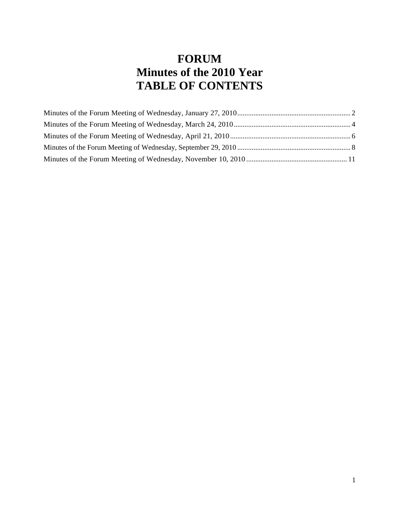# **FORUM Minutes of the 2010 Year TABLE OF CONTENTS**

<span id="page-0-0"></span>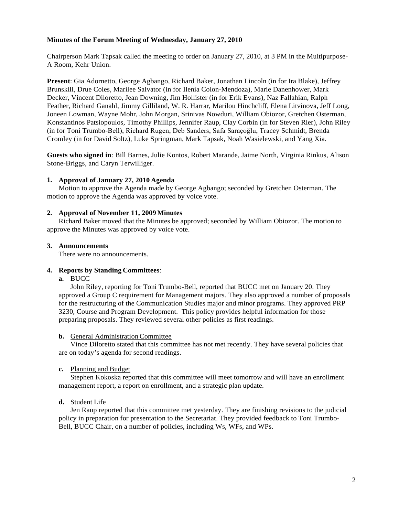# **Minutes of the Forum Meeting of Wednesday, January 27, 2010**

Chairperson Mark Tapsak called the meeting to order on January 27, 2010, at 3 PM in the Multipurpose-A Room, Kehr Union.

**Present**: Gia Adornetto, George Agbango, Richard Baker, Jonathan Lincoln (in for Ira Blake), Jeffrey Brunskill, Drue Coles, Marilee Salvator (in for Ilenia Colon-Mendoza), Marie Danenhower, Mark Decker, Vincent Diloretto, Jean Downing, Jim Hollister (in for Erik Evans), Naz Fallahian, Ralph Feather, Richard Ganahl, Jimmy Gilliland, W. R. Harrar, Marilou Hinchcliff, Elena Litvinova, Jeff Long, Joneen Lowman, Wayne Mohr, John Morgan, Srinivas Nowduri, William Obiozor, Gretchen Osterman, Konstantinos Patsiopoulos, Timothy Phillips, Jennifer Raup, Clay Corbin (in for Steven Rier), John Riley (in for Toni Trumbo-Bell), Richard Rugen, Deb Sanders, Safa Saraçoğlu, Tracey Schmidt, Brenda Cromley (in for David Soltz), Luke Springman, Mark Tapsak, Noah Wasielewski, and Yang Xia.

**Guests who signed in**: Bill Barnes, Julie Kontos, Robert Marande, Jaime North, Virginia Rinkus, Alison Stone-Briggs, and Caryn Terwilliger.

## **1. Approval of January 27, 2010 Agenda**

Motion to approve the Agenda made by George Agbango; seconded by Gretchen Osterman. The motion to approve the Agenda was approved by voice vote.

#### **2. Approval of November 11, 2009 Minutes**

Richard Baker moved that the Minutes be approved; seconded by William Obiozor. The motion to approve the Minutes was approved by voice vote.

#### **3. Announcements**

There were no announcements.

#### **4. Reports by Standing Committees**:

**a.** BUCC

John Riley, reporting for Toni Trumbo-Bell, reported that BUCC met on January 20. They approved a Group C requirement for Management majors. They also approved a number of proposals for the restructuring of the Communication Studies major and minor programs. They approved PRP 3230, Course and Program Development. This policy provides helpful information for those preparing proposals. They reviewed several other policies as first readings.

#### **b.** General Administration Committee

Vince Diloretto stated that this committee has not met recently. They have several policies that are on today's agenda for second readings.

## **c.** Planning and Budget

Stephen Kokoska reported that this committee will meet tomorrow and will have an enrollment management report, a report on enrollment, and a strategic plan update.

#### **d.** Student Life

Jen Raup reported that this committee met yesterday. They are finishing revisions to the judicial policy in preparation for presentation to the Secretariat. They provided feedback to Toni Trumbo-Bell, BUCC Chair, on a number of policies, including Ws, WFs, and WPs.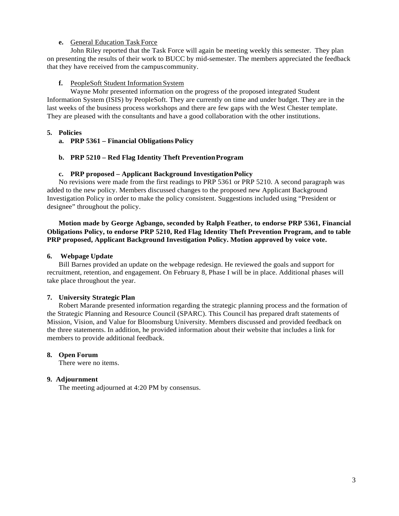# **e.** General Education Task Force

John Riley reported that the Task Force will again be meeting weekly this semester. They plan on presenting the results of their work to BUCC by mid-semester. The members appreciated the feedback that they have received from the campuscommunity.

#### **f.** PeopleSoft Student Information System

Wayne Mohr presented information on the progress of the proposed integrated Student Information System (ISIS) by PeopleSoft. They are currently on time and under budget. They are in the last weeks of the business process workshops and there are few gaps with the West Chester template. They are pleased with the consultants and have a good collaboration with the other institutions.

# **5. Policies**

**a. PRP 5361 – Financial Obligations Policy**

# **b. PRP 5210 – Red Flag Identity Theft PreventionProgram**

## **c. PRP proposed – Applicant Background InvestigationPolicy**

No revisions were made from the first readings to PRP 5361 or PRP 5210. A second paragraph was added to the new policy. Members discussed changes to the proposed new Applicant Background Investigation Policy in order to make the policy consistent. Suggestions included using "President or designee" throughout the policy.

# **Motion made by George Agbango, seconded by Ralph Feather, to endorse PRP 5361, Financial Obligations Policy, to endorse PRP 5210, Red Flag Identity Theft Prevention Program, and to table PRP proposed, Applicant Background Investigation Policy. Motion approved by voice vote.**

#### **6. Webpage Update**

Bill Barnes provided an update on the webpage redesign. He reviewed the goals and support for recruitment, retention, and engagement. On February 8, Phase I will be in place. Additional phases will take place throughout the year.

# **7. University Strategic Plan**

Robert Marande presented information regarding the strategic planning process and the formation of the Strategic Planning and Resource Council (SPARC). This Council has prepared draft statements of Mission, Vision, and Value for Bloomsburg University. Members discussed and provided feedback on the three statements. In addition, he provided information about their website that includes a link for members to provide additional feedback.

# **8. Open Forum**

There were no items.

#### **9. Adjournment**

The meeting adjourned at 4:20 PM by consensus.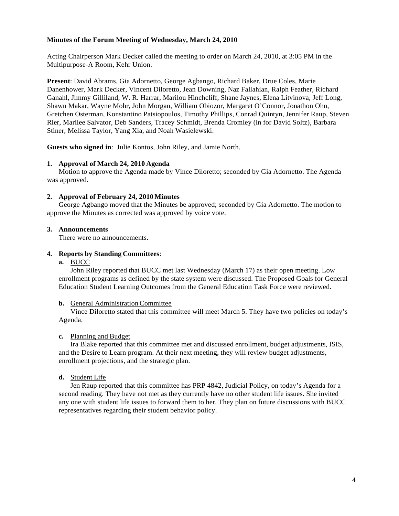# <span id="page-3-0"></span>**Minutes of the Forum Meeting of Wednesday, March 24, 2010**

Acting Chairperson Mark Decker called the meeting to order on March 24, 2010, at 3:05 PM in the Multipurpose-A Room, Kehr Union.

**Present**: David Abrams, Gia Adornetto, George Agbango, Richard Baker, Drue Coles, Marie Danenhower, Mark Decker, Vincent Diloretto, Jean Downing, Naz Fallahian, Ralph Feather, Richard Ganahl, Jimmy Gilliland, W. R. Harrar, Marilou Hinchcliff, Shane Jaynes, Elena Litvinova, Jeff Long, Shawn Makar, Wayne Mohr, John Morgan, William Obiozor, Margaret O'Connor, Jonathon Ohn, Gretchen Osterman, Konstantino Patsiopoulos, Timothy Phillips, Conrad Quintyn, Jennifer Raup, Steven Rier, Marilee Salvator, Deb Sanders, Tracey Schmidt, Brenda Cromley (in for David Soltz), Barbara Stiner, Melissa Taylor, Yang Xia, and Noah Wasielewski.

**Guests who signed in**: Julie Kontos, John Riley, and Jamie North.

## **1. Approval of March 24, 2010 Agenda**

Motion to approve the Agenda made by Vince Diloretto; seconded by Gia Adornetto. The Agenda was approved.

## **2. Approval of February 24, 2010 Minutes**

George Agbango moved that the Minutes be approved; seconded by Gia Adornetto. The motion to approve the Minutes as corrected was approved by voice vote.

## **3. Announcements**

There were no announcements.

## **4. Reports by Standing Committees**:

# **a.** BUCC

John Riley reported that BUCC met last Wednesday (March 17) as their open meeting. Low enrollment programs as defined by the state system were discussed. The Proposed Goals for General Education Student Learning Outcomes from the General Education Task Force were reviewed.

#### **b.** General Administration Committee

Vince Diloretto stated that this committee will meet March 5. They have two policies on today's Agenda.

# **c.** Planning and Budget

Ira Blake reported that this committee met and discussed enrollment, budget adjustments, ISIS, and the Desire to Learn program. At their next meeting, they will review budget adjustments, enrollment projections, and the strategic plan.

# **d.** Student Life

Jen Raup reported that this committee has PRP 4842, Judicial Policy, on today's Agenda for a second reading. They have not met as they currently have no other student life issues. She invited any one with student life issues to forward them to her. They plan on future discussions with BUCC representatives regarding their student behavior policy.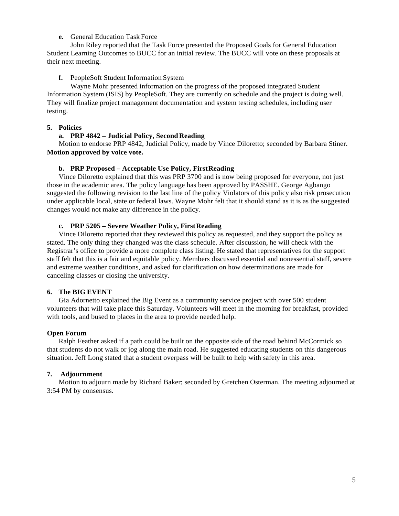## **e.** General Education Task Force

John Riley reported that the Task Force presented the Proposed Goals for General Education Student Learning Outcomes to BUCC for an initial review. The BUCC will vote on these proposals at their next meeting.

## **f.** PeopleSoft Student Information System

Wayne Mohr presented information on the progress of the proposed integrated Student Information System (ISIS) by PeopleSoft. They are currently on schedule and the project is doing well. They will finalize project management documentation and system testing schedules, including user testing.

## **5. Policies**

## **a. PRP 4842 – Judicial Policy, Second Reading**

Motion to endorse PRP 4842, Judicial Policy, made by Vince Diloretto; seconded by Barbara Stiner. **Motion approved by voice vote.**

## **b. PRP Proposed – Acceptable Use Policy, FirstReading**

Vince Diloretto explained that this was PRP 3700 and is now being proposed for everyone, not just those in the academic area. The policy language has been approved by PASSHE. George Agbango suggested the following revision to the last line of the policy Violators of this policy also risk prosecution under applicable local, state or federal laws. Wayne Mohr felt that it should stand as it is as the suggested changes would not make any difference in the policy.

# **c. PRP 5205 – Severe Weather Policy, FirstReading**

Vince Diloretto reported that they reviewed this policy as requested, and they support the policy as stated. The only thing they changed was the class schedule. After discussion, he will check with the Registrar's office to provide a more complete class listing. He stated that representatives for the support staff felt that this is a fair and equitable policy. Members discussed essential and nonessential staff, severe and extreme weather conditions, and asked for clarification on how determinations are made for canceling classes or closing the university.

# **6. The BIG EVENT**

Gia Adornetto explained the Big Event as a community service project with over 500 student volunteers that will take place this Saturday. Volunteers will meet in the morning for breakfast, provided with tools, and bused to places in the area to provide needed help.

#### **Open Forum**

Ralph Feather asked if a path could be built on the opposite side of the road behind McCormick so that students do not walk or jog along the main road. He suggested educating students on this dangerous situation. Jeff Long stated that a student overpass will be built to help with safety in this area.

#### **7. Adjournment**

Motion to adjourn made by Richard Baker; seconded by Gretchen Osterman. The meeting adjourned at 3:54 PM by consensus.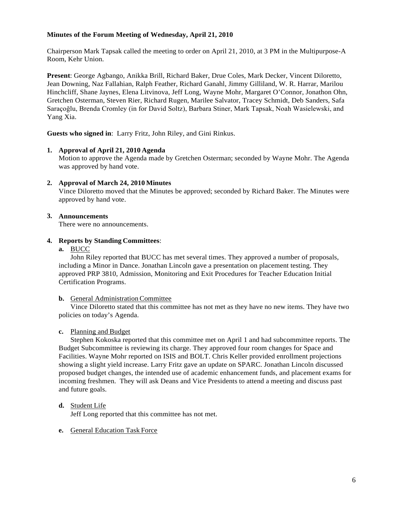# <span id="page-5-0"></span>**Minutes of the Forum Meeting of Wednesday, April 21, 2010**

Chairperson Mark Tapsak called the meeting to order on April 21, 2010, at 3 PM in the Multipurpose-A Room, Kehr Union.

**Present**: George Agbango, Anikka Brill, Richard Baker, Drue Coles, Mark Decker, Vincent Diloretto, Jean Downing, Naz Fallahian, Ralph Feather, Richard Ganahl, Jimmy Gilliland, W. R. Harrar, Marilou Hinchcliff, Shane Jaynes, Elena Litvinova, Jeff Long, Wayne Mohr, Margaret O'Connor, Jonathon Ohn, Gretchen Osterman, Steven Rier, Richard Rugen, Marilee Salvator, Tracey Schmidt, Deb Sanders, Safa Saraçoğlu, Brenda Cromley (in for David Soltz), Barbara Stiner, Mark Tapsak, Noah Wasielewski, and Yang Xia.

**Guests who signed in**: Larry Fritz, John Riley, and Gini Rinkus.

# **1. Approval of April 21, 2010 Agenda**

Motion to approve the Agenda made by Gretchen Osterman; seconded by Wayne Mohr. The Agenda was approved by hand vote.

# **2. Approval of March 24, 2010 Minutes**

Vince Diloretto moved that the Minutes be approved; seconded by Richard Baker. The Minutes were approved by hand vote.

# **3. Announcements**

There were no announcements.

# **4. Reports by Standing Committees**:

**a.** BUCC

John Riley reported that BUCC has met several times. They approved a number of proposals, including a Minor in Dance. Jonathan Lincoln gave a presentation on placement testing. They approved PRP 3810, Admission, Monitoring and Exit Procedures for Teacher Education Initial Certification Programs.

# **b.** General Administration Committee

Vince Diloretto stated that this committee has not met as they have no new items. They have two policies on today's Agenda.

# **c.** Planning and Budget

Stephen Kokoska reported that this committee met on April 1 and had subcommittee reports. The Budget Subcommittee is reviewing its charge. They approved four room changes for Space and Facilities. Wayne Mohr reported on ISIS and BOLT. Chris Keller provided enrollment projections showing a slight yield increase. Larry Fritz gave an update on SPARC. Jonathan Lincoln discussed proposed budget changes, the intended use of academic enhancement funds, and placement exams for incoming freshmen. They will ask Deans and Vice Presidents to attend a meeting and discuss past and future goals.

# **d.** Student Life

Jeff Long reported that this committee has not met.

# **e.** General Education Task Force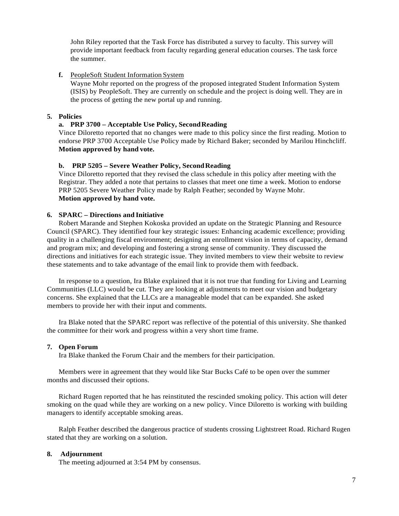John Riley reported that the Task Force has distributed a survey to faculty. This survey will provide important feedback from faculty regarding general education courses. The task force the summer.

# **f.** PeopleSoft Student Information System

Wayne Mohr reported on the progress of the proposed integrated Student Information System (ISIS) by PeopleSoft. They are currently on schedule and the project is doing well. They are in the process of getting the new portal up and running.

## **5. Policies**

#### **a. PRP 3700 – Acceptable Use Policy, SecondReading**

Vince Diloretto reported that no changes were made to this policy since the first reading. Motion to endorse PRP 3700 Acceptable Use Policy made by Richard Baker; seconded by Marilou Hinchcliff. **Motion approved by hand vote.**

## **b. PRP 5205 – Severe Weather Policy, Second Reading**

Vince Diloretto reported that they revised the class schedule in this policy after meeting with the Registrar. They added a note that pertains to classes that meet one time a week. Motion to endorse PRP 5205 Severe Weather Policy made by Ralph Feather; seconded by Wayne Mohr. **Motion approved by hand vote.**

# **6. SPARC – Directions and Initiative**

Robert Marande and Stephen Kokoska provided an update on the Strategic Planning and Resource Council (SPARC). They identified four key strategic issues: Enhancing academic excellence; providing quality in a challenging fiscal environment; designing an enrollment vision in terms of capacity, demand and program mix; and developing and fostering a strong sense of community. They discussed the directions and initiatives for each strategic issue. They invited members to view their website to review these statements and to take advantage of the email link to provide them with feedback.

In response to a question, Ira Blake explained that it is not true that funding for Living and Learning Communities (LLC) would be cut. They are looking at adjustments to meet our vision and budgetary concerns. She explained that the LLCs are a manageable model that can be expanded. She asked members to provide her with their input and comments.

Ira Blake noted that the SPARC report was reflective of the potential of this university. She thanked the committee for their work and progress within a very short time frame.

#### **7. Open Forum**

Ira Blake thanked the Forum Chair and the members for their participation.

Members were in agreement that they would like Star Bucks Café to be open over the summer months and discussed their options.

Richard Rugen reported that he has reinstituted the rescinded smoking policy. This action will deter smoking on the quad while they are working on a new policy. Vince Diloretto is working with building managers to identify acceptable smoking areas.

Ralph Feather described the dangerous practice of students crossing Lightstreet Road. Richard Rugen stated that they are working on a solution.

#### **8. Adjournment**

The meeting adjourned at 3:54 PM by consensus.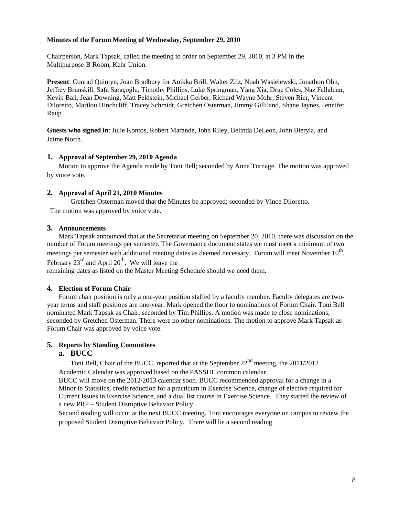# <span id="page-7-0"></span>**Minutes of the Forum Meeting of Wednesday, September 29, 2010**

Chairperson, Mark Tapsak, called the meeting to order on September 29, 2010, at 3 PM in the Multipurpose-B Room, Kehr Union.

**Present**: Conrad Quintyn, Joan Bradbury for Anikka Brill, Walter Zilz, Noah Wasielewski, Jonathon Ohn, Jeffrey Brunskill, Safa Saraçoğlu, Timothy Phillips, Luke Springman, Yang Xia, Drue Coles, Naz Fallahian, Kevin Ball, Jean Downing, Matt Feldstein, Michael Gerber, Richard Wayne Mohr, Steven Rier, Vincent Diloretto, Marilou Hinchcliff, Tracey Schmidt, Gretchen Osterman, Jimmy Gilliland, Shane Jaynes, Jennifer Raup

**Guests who signed in**: Julie Kontos, Robert Marande, John Riley, Belinda DeLeon, John Bieryla, and Jaime North.

#### **1. Approval of September 29, 2010 Agenda**

Motion to approve the Agenda made by Toni Bell; seconded by Anna Turnage. The motion was approved by voice vote.

## **2. Approval of April 21, 2010 Minutes**

Gretchen Osterman moved that the Minutes be approved; seconded by Vince Diloretto. The motion was approved by voice vote.

#### **3. Announcements**

Mark Tapsak announced that at the Secretariat meeting on September 20, 2010, there was discussion on the number of Forum meetings per semester. The Governance document states we must meet a minimum of two meetings per semester with additional meeting dates as deemed necessary. Forum will meet November 10<sup>th</sup>, February  $23^{\text{rd}}$  and April  $20^{\text{th}}$ . We will leave the remaining dates as listed on the Master Meeting Schedule should we need them.

#### **4. Election of Forum Chair**

Forum chair position is only a one-year position staffed by a faculty member. Faculty delegates are twoyear terms and staff positions are one-year. Mark opened the floor to nominations of Forum Chair. Toni Bell nominated Mark Tapsak as Chair; seconded by Tim Phillips. A motion was made to close nominations; seconded by Gretchen Osterman. There were no other nominations. The motion to approve Mark Tapsak as Forum Chair was approved by voice vote.

## **5. Reports by Standing Committees**

# **a. BUCC**

Toni Bell, Chair of the BUCC, reported that at the September  $22<sup>nd</sup>$  meeting, the 2011/2012 Academic Calendar was approved based on the PASSHE common calendar.

BUCC will move on the 2012/2013 calendar soon. BUCC recommended approval for a change in a Minor in Statistics, credit reduction for a practicum in Exercise Science, change of elective required for Current Issues in Exercise Science, and a dual list course in Exercise Science. They started the review of a new PRP – Student Disruptive Behavior Policy.

Second reading will occur at the next BUCC meeting. Toni encourages everyone on campus to review the proposed Student Disruptive Behavior Policy. There will be a second reading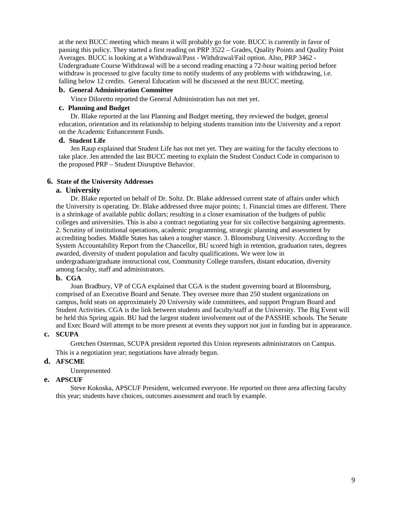at the next BUCC meeting which means it will probably go for vote. BUCC is currently in favor of passing this policy. They started a first reading on PRP 3522 – Grades, Quality Points and Quality Point Averages. BUCC is looking at a Withdrawal/Pass - Withdrawal/Fail option. Also, PRP 3462 - Undergraduate Course Withdrawal will be a second reading enacting a 72-hour waiting period before withdraw is processed to give faculty time to notify students of any problems with withdrawing, i.e. falling below 12 credits. General Education will be discussed at the next BUCC meeting.

# **b. General Administration Committee**

Vince Diloretto reported the General Administration has not met yet.

#### **c. Planning and Budget**

Dr. Blake reported at the last Planning and Budget meeting, they reviewed the budget, general education, orientation and its relationship to helping students transition into the University and a report on the Academic Enhancement Funds.

## **d. Student Life**

Jen Raup explained that Student Life has not met yet. They are waiting for the faculty elections to take place. Jen attended the last BUCC meeting to explain the Student Conduct Code in comparison to the proposed PRP – Student Disruptive Behavior.

# **6. State of the University Addresses**

## **a. University**

Dr. Blake reported on behalf of Dr. Soltz. Dr. Blake addressed current state of affairs under which the University is operating. Dr. Blake addressed three major points; 1. Financial times are different. There is a shrinkage of available public dollars; resulting in a closer examination of the budgets of public colleges and universities. This is also a contract negotiating year for six collective bargaining agreements. 2. Scrutiny of institutional operations, academic programming, strategic planning and assessment by accrediting bodies. Middle States has taken a tougher stance. 3. Bloomsburg University. According to the System Accountability Report from the Chancellor, BU scored high in retention, graduation rates, degrees awarded, diversity of student population and faculty qualifications. We were low in undergraduate/graduate instructional cost, Community College transfers, distant education, diversity among faculty, staff and administrators.

# **b. CGA**

Joan Bradbury, VP of CGA explained that CGA is the student governing board at Bloomsburg, comprised of an Executive Board and Senate. They oversee more than 250 student organizations on campus, hold seats on approximately 20 University wide committees, and support Program Board and Student Activities. CGA is the link between students and faculty/staff at the University. The Big Event will be held this Spring again. BU had the largest student involvement out of the PASSHE schools. The Senate and Exec Board will attempt to be more present at events they support not just in funding but in appearance.

## **c. SCUPA**

Gretchen Osterman, SCUPA president reported this Union represents administrators on Campus. This is a negotiation year; negotiations have already begun.

# **d. AFSCME**

Unrepresented

# **e. APSCUF**

Steve Kokoska, APSCUF President, welcomed everyone. He reported on three area affecting faculty this year; students have choices, outcomes assessment and teach by example.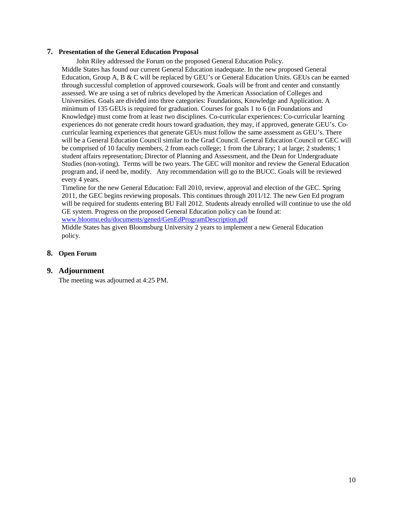## **7. Presentation of the General Education Proposal**

John Riley addressed the Forum on the proposed General Education Policy.

Middle States has found our current General Education inadequate. In the new proposed General Education, Group A, B & C will be replaced by GEU's or General Education Units. GEUs can be earned through successful completion of approved coursework. Goals will be front and center and constantly assessed. We are using a set of rubrics developed by the American Association of Colleges and Universities. Goals are divided into three categories: Foundations, Knowledge and Application. A minimum of 135 GEUs is required for graduation. Courses for goals 1 to 6 (in Foundations and Knowledge) must come from at least two disciplines. Co-curricular experiences: Co-curricular learning experiences do not generate credit hours toward graduation, they may, if approved, generate GEU's. Cocurricular learning experiences that generate GEUs must follow the same assessment as GEU's. There will be a General Education Council similar to the Grad Council. General Education Council or GEC will be comprised of 10 faculty members, 2 from each college; 1 from the Library; 1 at large; 2 students; 1 student affairs representation; Director of Planning and Assessment, and the Dean for Undergraduate Studies (non-voting). Terms will be two years. The GEC will monitor and review the General Education program and, if need be, modify. Any recommendation will go to the BUCC. Goals will be reviewed every 4 years.

Timeline for the new General Education: Fall 2010, review, approval and election of the GEC. Spring 2011, the GEC begins reviewing proposals. This continues through 2011/12. The new Gen Ed program will be required for students entering BU Fall 2012. Students already enrolled will continue to use the old GE system. Progress on the proposed General Education policy can be found at: [www.bloomu.edu/documents/gened/GenEdProgramDescription.pdf](http://www.bloomu.edu/documents/gened/GenEdProgramDescription.pdf)

Middle States has given Bloomsburg University 2 years to implement a new General Education policy.

## **8. Open Forum**

#### **9. Adjournment**

The meeting was adjourned at 4:25 PM.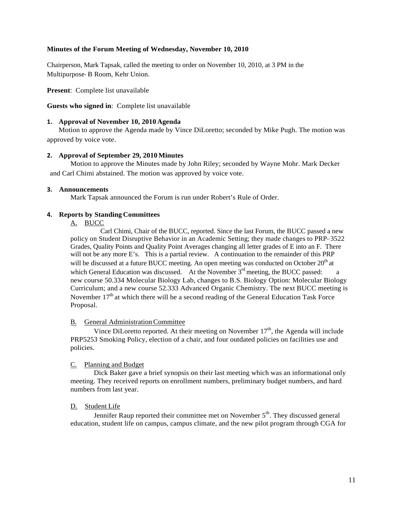## <span id="page-10-0"></span>**Minutes of the Forum Meeting of Wednesday, November 10, 2010**

Chairperson, Mark Tapsak, called the meeting to order on November 10, 2010, at 3 PM in the Multipurpose-B Room, Kehr Union.

**Present**: Complete list unavailable

**Guests who signed in**: Complete list unavailable

## **1. Approval of November 10, 2010 Agenda**

Motion to approve the Agenda made by Vince DiLoretto; seconded by Mike Pugh. The motion was approved by voice vote.

## **2. Approval of September 29, 2010 Minutes**

Motion to approve the Minutes made by John Riley; seconded by Wayne Mohr. Mark Decker and Carl Chimi abstained. The motion was approved by voice vote.

## **3. Announcements**

Mark Tapsak announced the Forum is run under Robert's Rule of Order.

# **4. Reports by Standing Committees**

A. BUCC

Carl Chimi, Chair of the BUCC, reported. Since the last Forum, the BUCC passed a new policy on Student Disruptive Behavior in an Academic Setting; they made changes to PRP-3522 Grades, Quality Points and Quality Point Averages changing all letter grades of E into an F. There will not be any more E's. This is a partial review. A continuation to the remainder of this PRP will be discussed at a future BUCC meeting. An open meeting was conducted on October  $20<sup>th</sup>$  at which General Education was discussed. At the November  $3<sup>rd</sup>$  meeting, the BUCC passed: a new course 50.334 Molecular Biology Lab, changes to B.S. Biology Option: Molecular Biology Curriculum; and a new course 52.333 Advanced Organic Chemistry. The next BUCC meeting is November  $17<sup>th</sup>$  at which there will be a second reading of the General Education Task Force Proposal.

## B. General AdministrationCommittee

Vince DiLoretto reported. At their meeting on November  $17<sup>th</sup>$ , the Agenda will include PRP5253 Smoking Policy, election of a chair, and four outdated policies on facilities use and policies.

# C. Planning and Budget

Dick Baker gave a brief synopsis on their last meeting which was an informational only meeting. They received reports on enrollment numbers, preliminary budget numbers, and hard numbers from last year.

# D. Student Life

Jennifer Raup reported their committee met on November  $5<sup>th</sup>$ . They discussed general education, student life on campus, campus climate, and the new pilot program through CGA for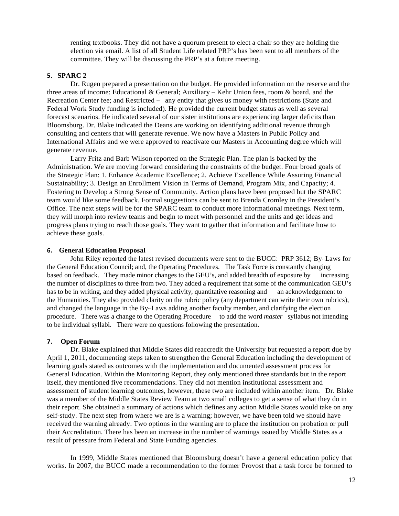renting textbooks. They did not have a quorum present to elect a chair so they are holding the election via email. A list of all Student Life related PRP's has been sent to all members of the committee. They will be discussing the PRP's at a future meeting.

#### **5. SPARC 2**

Dr. Rugen prepared a presentation on the budget. He provided information on the reserve and the three areas of income: Educational & General; Auxiliary – Kehr Union fees, room & board, and the Recreation Center fee; and Restricted -- any entity that gives us money with restrictions (State and Federal Work Study funding is included). He provided the current budget status as well as several forecast scenarios. He indicated several of our sister institutions are experiencing larger deficits than Bloomsburg. Dr. Blake indicated the Deans are working on identifying additional revenue through consulting and centers that will generate revenue. We now have a Masters in Public Policy and International Affairs and we were approved to reactivate our Masters in Accounting degree which will generate revenue.

Larry Fritz and Barb Wilson reported on the Strategic Plan. The plan is backed by the Administration. We are moving forward considering the constraints of the budget. Four broad goals of the Strategic Plan: 1. Enhance Academic Excellence; 2. Achieve Excellence While Assuring Financial Sustainability; 3. Design an Enrollment Vision in Terms of Demand, Program Mix, and Capacity; 4. Fostering to Develop a Strong Sense of Community. Action plans have been proposed but the SPARC team would like some feedback. Formal suggestions can be sent to Brenda Cromley in the President's Office. The next steps will be for the SPARC team to conduct more informational meetings. Next term, they will morph into review teams and begin to meet with personnel and the units and get ideas and progress plans trying to reach those goals. They want to gather that information and facilitate how to achieve these goals.

#### **6. General Education Proposal**

John Riley reported the latest revised documents were sent to the BUCC: PRP 3612; By-Laws for the General Education Council; and, the Operating Procedures. The Task Force is constantly changing based on feedback. They made minor changes to the GEU's, and added breadth of exposure by increasing the number of disciplines to three from two. They added a requirement that some of the communication GEU's has to be in writing, and they added physical activity, quantitative reasoning and an acknowledgement to the Humanities. They also provided clarity on the rubric policy (any department can write their own rubrics), and changed the language in the By--Laws adding another faculty member, and clarifying the election procedure. There was a change to the Operating Procedure to add the word *master* syllabus not intending to be individual syllabi. There were no questions following the presentation.

#### **7. Open Forum**

Dr. Blake explained that Middle States did reaccredit the University but requested a report due by April 1, 2011, documenting steps taken to strengthen the General Education including the development of learning goals stated as outcomes with the implementation and documented assessment process for General Education. Within the Monitoring Report, they only mentioned three standards but in the report itself, they mentioned five recommendations. They did not mention institutional assessment and assessment of student learning outcomes, however, these two are included within another item. Dr. Blake was a member of the Middle States Review Team at two small colleges to get a sense of what they do in their report. She obtained a summary of actions which defines any action Middle States would take on any self-study. The next step from where we are is a warning; however, we have been told we should have received the warning already. Two options in the warning are to place the institution on probation or pull their Accreditation. There has been an increase in the number of warnings issued by Middle States as a result of pressure from Federal and State Funding agencies.

In 1999, Middle States mentioned that Bloomsburg doesn't have a general education policy that works. In 2007, the BUCC made a recommendation to the former Provost that a task force be formed to